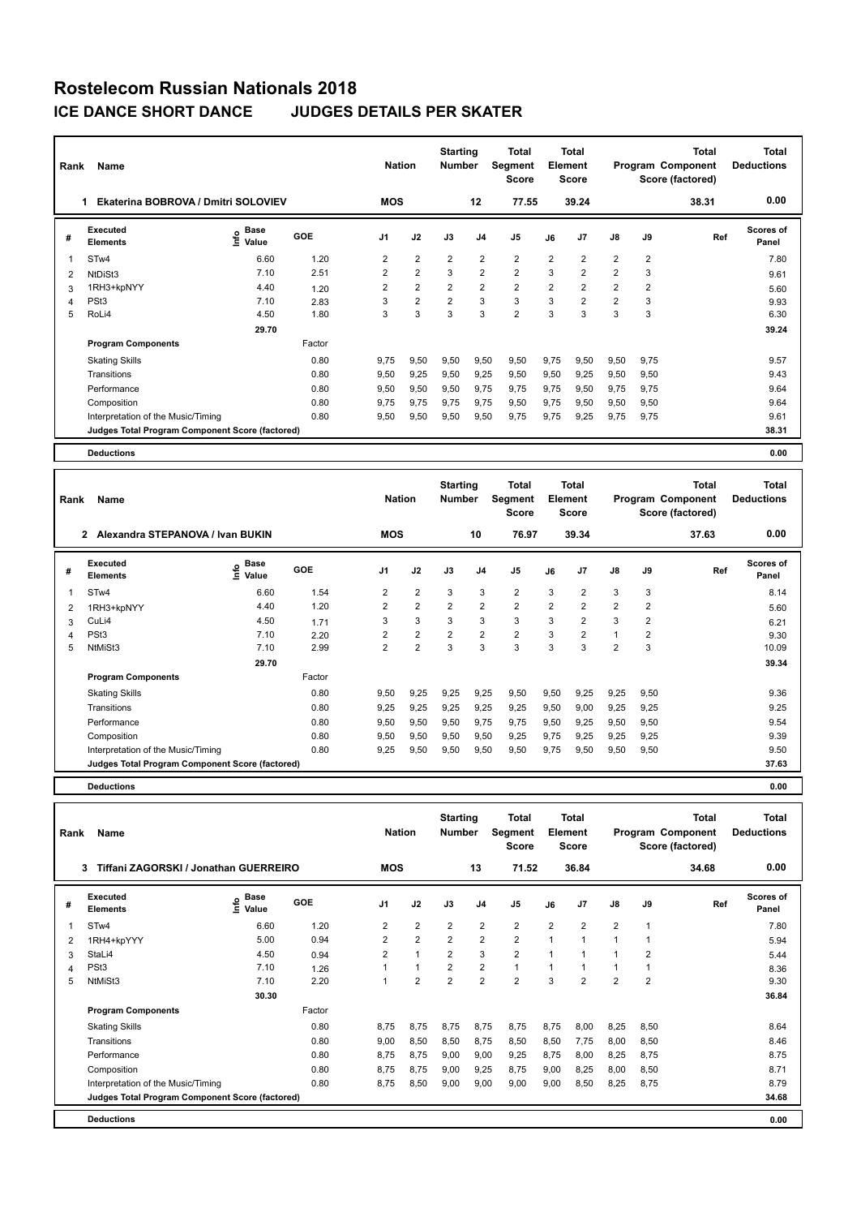| Rank | Name                                            |                           |        | <b>Nation</b>  |                | <b>Starting</b><br><b>Number</b> |                | <b>Total</b><br>Segment<br>Score |                | <b>Total</b><br>Element<br><b>Score</b> |                |                | <b>Total</b><br>Program Component<br>Score (factored) | <b>Total</b><br><b>Deductions</b> |
|------|-------------------------------------------------|---------------------------|--------|----------------|----------------|----------------------------------|----------------|----------------------------------|----------------|-----------------------------------------|----------------|----------------|-------------------------------------------------------|-----------------------------------|
|      | Ekaterina BOBROVA / Dmitri SOLOVIEV             |                           |        | <b>MOS</b>     |                |                                  | $12 \,$        | 77.55                            |                | 39.24                                   |                |                | 38.31                                                 | 0.00                              |
| #    | Executed<br><b>Elements</b>                     | Base<br>e Base<br>⊆ Value | GOE    | J <sub>1</sub> | J2             | J3                               | J <sub>4</sub> | J <sub>5</sub>                   | J6             | J7                                      | $\mathsf{J}8$  | J9             | Ref                                                   | Scores of<br>Panel                |
|      | STw4                                            | 6.60                      | 1.20   | 2              | $\overline{2}$ | $\overline{2}$                   | $\overline{2}$ | $\overline{2}$                   | $\overline{2}$ | $\overline{2}$                          | $\overline{2}$ | $\overline{2}$ |                                                       | 7.80                              |
| 2    | NtDiSt3                                         | 7.10                      | 2.51   | $\overline{2}$ | $\overline{2}$ | 3                                | $\overline{2}$ | $\overline{2}$                   | 3              | $\overline{2}$                          | $\overline{2}$ | 3              |                                                       | 9.61                              |
| 3    | 1RH3+kpNYY                                      | 4.40                      | 1.20   | $\overline{2}$ | $\overline{2}$ | $\overline{2}$                   | $\overline{2}$ | $\overline{2}$                   | $\overline{2}$ | $\overline{2}$                          | $\overline{2}$ | $\overline{2}$ |                                                       | 5.60                              |
| 4    | PSt <sub>3</sub>                                | 7.10                      | 2.83   | 3              | $\overline{2}$ | $\overline{2}$                   | 3              | 3                                | 3              | $\overline{2}$                          | $\overline{2}$ | 3              |                                                       | 9.93                              |
| 5    | RoLi4                                           | 4.50                      | 1.80   | 3              | 3              | 3                                | 3              | $\overline{2}$                   | 3              | 3                                       | 3              | 3              |                                                       | 6.30                              |
|      |                                                 | 29.70                     |        |                |                |                                  |                |                                  |                |                                         |                |                |                                                       | 39.24                             |
|      | <b>Program Components</b>                       |                           | Factor |                |                |                                  |                |                                  |                |                                         |                |                |                                                       |                                   |
|      | <b>Skating Skills</b>                           |                           | 0.80   | 9,75           | 9,50           | 9,50                             | 9,50           | 9,50                             | 9,75           | 9,50                                    | 9,50           | 9,75           |                                                       | 9.57                              |
|      | Transitions                                     |                           | 0.80   | 9,50           | 9,25           | 9,50                             | 9,25           | 9,50                             | 9,50           | 9,25                                    | 9,50           | 9,50           |                                                       | 9.43                              |
|      | Performance                                     |                           | 0.80   | 9,50           | 9,50           | 9,50                             | 9,75           | 9,75                             | 9,75           | 9,50                                    | 9,75           | 9,75           |                                                       | 9.64                              |
|      | Composition                                     |                           | 0.80   | 9.75           | 9.75           | 9.75                             | 9.75           | 9,50                             | 9.75           | 9,50                                    | 9,50           | 9,50           |                                                       | 9.64                              |
|      | Interpretation of the Music/Timing              |                           | 0.80   | 9,50           | 9,50           | 9,50                             | 9,50           | 9,75                             | 9,75           | 9,25                                    | 9,75           | 9,75           |                                                       | 9.61                              |
|      | Judges Total Program Component Score (factored) |                           |        |                |                |                                  |                |                                  |                |                                         |                |                |                                                       | 38.31                             |
|      | <b>Deductions</b>                               |                           |        |                |                |                                  |                |                                  |                |                                         |                |                |                                                       | 0.00                              |

| Rank | Name                                             |                              |        | <b>Nation</b>  |                | <b>Starting</b><br><b>Number</b> |                | <b>Total</b><br>Segment<br>Score |                | <b>Total</b><br>Element<br>Score |                |      | <b>Total</b><br>Program Component<br>Score (factored) | <b>Total</b><br><b>Deductions</b> |
|------|--------------------------------------------------|------------------------------|--------|----------------|----------------|----------------------------------|----------------|----------------------------------|----------------|----------------------------------|----------------|------|-------------------------------------------------------|-----------------------------------|
|      | $\mathbf{2}$<br>Alexandra STEPANOVA / Ivan BUKIN |                              |        | <b>MOS</b>     |                |                                  | 10             | 76.97                            |                | 39.34                            |                |      | 37.63                                                 | 0.00                              |
| #    | Executed<br><b>Elements</b>                      | <b>Base</b><br>١πfo<br>Value | GOE    | J <sub>1</sub> | J2             | J3                               | J <sub>4</sub> | J5                               | J6             | J <sub>7</sub>                   | J8             | J9   | Ref                                                   | <b>Scores of</b><br>Panel         |
| 1    | ST <sub>w</sub> 4                                | 6.60                         | 1.54   | 2              | $\overline{2}$ | 3                                | 3              | $\overline{2}$                   | 3              | $\overline{2}$                   | 3              | 3    |                                                       | 8.14                              |
| 2    | 1RH3+kpNYY                                       | 4.40                         | 1.20   | $\overline{2}$ | $\overline{2}$ | $\overline{2}$                   | $\overline{2}$ | $\overline{2}$                   | $\overline{2}$ | $\overline{2}$                   | $\overline{2}$ | 2    |                                                       | 5.60                              |
| 3    | CuLi4                                            | 4.50                         | 1.71   | 3              | 3              | 3                                | 3              | 3                                | 3              | $\overline{2}$                   | 3              | 2    |                                                       | 6.21                              |
| 4    | PSt <sub>3</sub>                                 | 7.10                         | 2.20   | $\overline{2}$ | $\overline{2}$ | $\overline{2}$                   | $\overline{2}$ | $\overline{2}$                   | 3              | $\overline{2}$                   | $\mathbf{1}$   | 2    |                                                       | 9.30                              |
| 5    | NtMiSt3                                          | 7.10                         | 2.99   | $\overline{2}$ | $\overline{2}$ | 3                                | 3              | 3                                | 3              | 3                                | $\overline{2}$ | 3    |                                                       | 10.09                             |
|      |                                                  | 29.70                        |        |                |                |                                  |                |                                  |                |                                  |                |      |                                                       | 39.34                             |
|      | <b>Program Components</b>                        |                              | Factor |                |                |                                  |                |                                  |                |                                  |                |      |                                                       |                                   |
|      | <b>Skating Skills</b>                            |                              | 0.80   | 9,50           | 9,25           | 9,25                             | 9,25           | 9,50                             | 9,50           | 9,25                             | 9,25           | 9,50 |                                                       | 9.36                              |
|      | Transitions                                      |                              | 0.80   | 9,25           | 9,25           | 9,25                             | 9,25           | 9,25                             | 9,50           | 9,00                             | 9,25           | 9,25 |                                                       | 9.25                              |
|      | Performance                                      |                              | 0.80   | 9,50           | 9,50           | 9,50                             | 9.75           | 9,75                             | 9,50           | 9,25                             | 9,50           | 9,50 |                                                       | 9.54                              |
|      | Composition                                      |                              | 0.80   | 9,50           | 9,50           | 9,50                             | 9,50           | 9,25                             | 9,75           | 9,25                             | 9,25           | 9,25 |                                                       | 9.39                              |
|      | Interpretation of the Music/Timing               |                              | 0.80   | 9,25           | 9,50           | 9,50                             | 9,50           | 9,50                             | 9,75           | 9,50                             | 9,50           | 9,50 |                                                       | 9.50                              |
|      | Judges Total Program Component Score (factored)  |                              |        |                |                |                                  |                |                                  |                |                                  |                |      |                                                       | 37.63                             |
|      | <b>Deductions</b>                                |                              |        |                |                |                                  |                |                                  |                |                                  |                |      |                                                       | 0.00                              |

| Rank | Name                                            |                       |        | <b>Nation</b>  |                      | <b>Starting</b><br><b>Number</b> |                | Total<br>Segment<br><b>Score</b> |                | <b>Total</b><br>Element<br><b>Score</b> |                |                | Total<br>Program Component<br>Score (factored) | Total<br><b>Deductions</b> |
|------|-------------------------------------------------|-----------------------|--------|----------------|----------------------|----------------------------------|----------------|----------------------------------|----------------|-----------------------------------------|----------------|----------------|------------------------------------------------|----------------------------|
|      | Tiffani ZAGORSKI / Jonathan GUERREIRO<br>3      |                       |        | <b>MOS</b>     |                      |                                  | 13             | 71.52                            |                | 36.84                                   |                |                | 34.68                                          | 0.00                       |
| #    | <b>Executed</b><br><b>Elements</b>              | Base<br>lnfo<br>Value | GOE    | J1             | J2                   | J3                               | J <sub>4</sub> | J <sub>5</sub>                   | J6             | J7                                      | $\mathsf{J}8$  | J9             | Ref                                            | <b>Scores of</b><br>Panel  |
|      | STw4                                            | 6.60                  | 1.20   | $\overline{2}$ | $\overline{2}$       | $\overline{2}$                   | $\overline{2}$ | $\overline{2}$                   | $\overline{2}$ | $\overline{2}$                          | $\overline{2}$ | 1              |                                                | 7.80                       |
| 2    | 1RH4+kpYYY                                      | 5.00                  | 0.94   | $\overline{2}$ | $\overline{2}$       | $\overline{2}$                   | $\overline{2}$ | $\overline{2}$                   | $\mathbf{1}$   | 1                                       | 1              |                |                                                | 5.94                       |
| 3    | StaLi4                                          | 4.50                  | 0.94   | $\overline{2}$ | $\blacktriangleleft$ | $\overline{2}$                   | 3              | $\overline{2}$                   | $\overline{1}$ |                                         |                | $\overline{2}$ |                                                | 5.44                       |
| 4    | PSt <sub>3</sub>                                | 7.10                  | 1.26   |                | $\overline{1}$       | $\overline{2}$                   | $\overline{2}$ | $\mathbf{1}$                     | $\mathbf{1}$   |                                         |                |                |                                                | 8.36                       |
| 5    | NtMiSt3                                         | 7.10                  | 2.20   |                | $\overline{2}$       | $\overline{2}$                   | $\overline{2}$ | $\overline{2}$                   | 3              | $\overline{2}$                          | $\overline{2}$ | $\overline{2}$ |                                                | 9.30                       |
|      |                                                 | 30.30                 |        |                |                      |                                  |                |                                  |                |                                         |                |                |                                                | 36.84                      |
|      | <b>Program Components</b>                       |                       | Factor |                |                      |                                  |                |                                  |                |                                         |                |                |                                                |                            |
|      | <b>Skating Skills</b>                           |                       | 0.80   | 8,75           | 8,75                 | 8,75                             | 8,75           | 8,75                             | 8,75           | 8,00                                    | 8,25           | 8,50           |                                                | 8.64                       |
|      | Transitions                                     |                       | 0.80   | 9.00           | 8,50                 | 8,50                             | 8,75           | 8.50                             | 8,50           | 7.75                                    | 8,00           | 8.50           |                                                | 8.46                       |
|      | Performance                                     |                       | 0.80   | 8.75           | 8,75                 | 9,00                             | 9,00           | 9,25                             | 8,75           | 8,00                                    | 8,25           | 8,75           |                                                | 8.75                       |
|      | Composition                                     |                       | 0.80   | 8,75           | 8,75                 | 9,00                             | 9,25           | 8,75                             | 9,00           | 8,25                                    | 8,00           | 8,50           |                                                | 8.71                       |
|      | Interpretation of the Music/Timing              |                       | 0.80   | 8.75           | 8,50                 | 9,00                             | 9,00           | 9,00                             | 9,00           | 8,50                                    | 8,25           | 8,75           |                                                | 8.79                       |
|      | Judges Total Program Component Score (factored) |                       |        |                |                      |                                  |                |                                  |                |                                         |                |                |                                                | 34.68                      |
|      | <b>Deductions</b>                               |                       |        |                |                      |                                  |                |                                  |                |                                         |                |                |                                                | 0.00                       |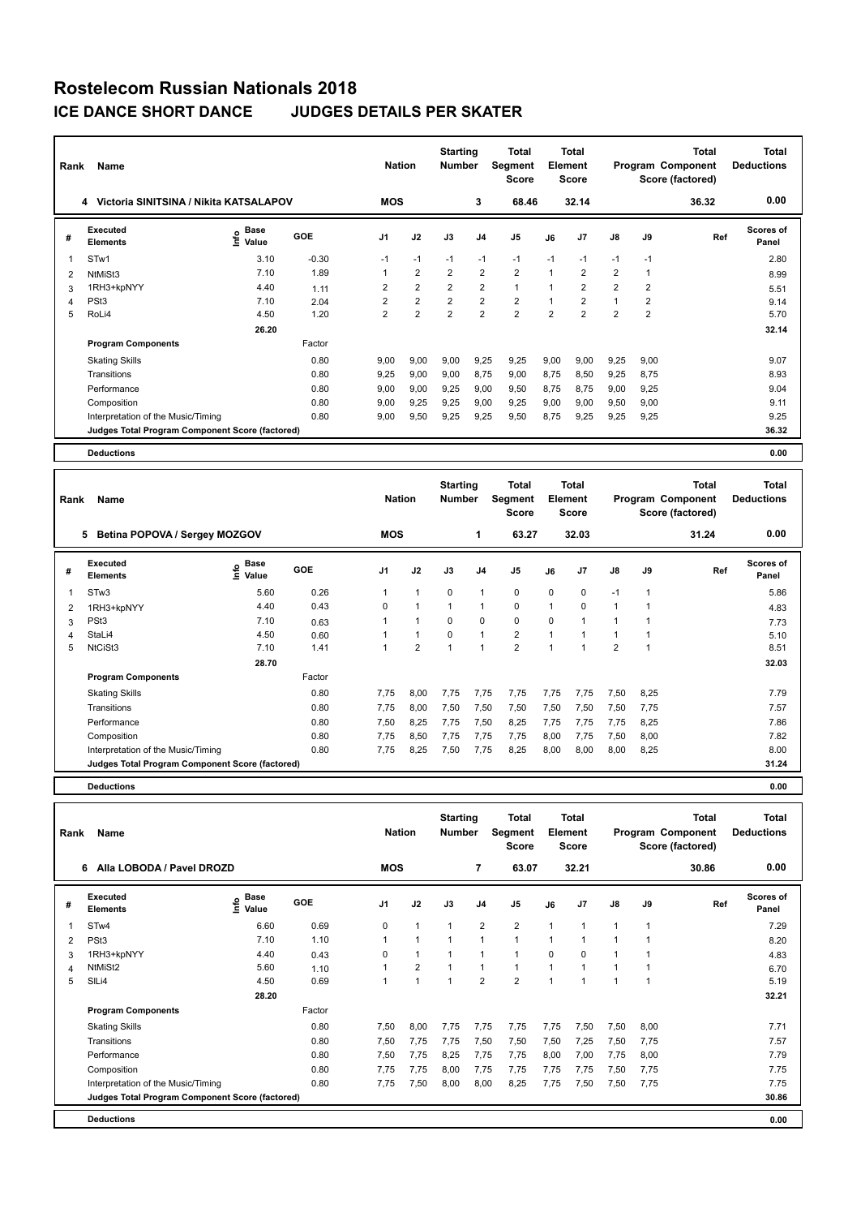| Rank           | Name                                            |                              |         | <b>Nation</b>  |                | <b>Starting</b><br><b>Number</b> |                | Total<br>Segment<br>Score |                         | <b>Total</b><br>Element<br><b>Score</b> |                |                | <b>Total</b><br>Program Component<br>Score (factored) | <b>Total</b><br><b>Deductions</b> |
|----------------|-------------------------------------------------|------------------------------|---------|----------------|----------------|----------------------------------|----------------|---------------------------|-------------------------|-----------------------------------------|----------------|----------------|-------------------------------------------------------|-----------------------------------|
|                | Victoria SINITSINA / Nikita KATSALAPOV<br>4     |                              |         | <b>MOS</b>     |                |                                  | 3              | 68.46                     |                         | 32.14                                   |                |                | 36.32                                                 | 0.00                              |
| #              | <b>Executed</b><br><b>Elements</b>              | <b>Base</b><br>١nt٥<br>Value | GOE     | J <sub>1</sub> | J2             | J3                               | J <sub>4</sub> | J <sub>5</sub>            | J6                      | J <sub>7</sub>                          | J8             | J9             | Ref                                                   | Scores of<br>Panel                |
|                | STw1                                            | 3.10                         | $-0.30$ | $-1$           | $-1$           | $-1$                             | $-1$           | $-1$                      | $-1$                    | $-1$                                    | $-1$           | $-1$           |                                                       | 2.80                              |
| $\overline{2}$ | NtMiSt3                                         | 7.10                         | 1.89    | 1              | $\overline{2}$ | $\overline{2}$                   | $\overline{2}$ | $\overline{2}$            | $\overline{1}$          | $\overline{2}$                          | $\overline{2}$ |                |                                                       | 8.99                              |
| 3              | 1RH3+kpNYY                                      | 4.40                         | 1.11    | $\overline{2}$ | $\overline{2}$ | $\overline{2}$                   | $\overline{2}$ | $\mathbf{1}$              | $\overline{\mathbf{1}}$ | $\overline{2}$                          | $\overline{2}$ | $\overline{2}$ |                                                       | 5.51                              |
| 4              | PSt <sub>3</sub>                                | 7.10                         | 2.04    | 2              | $\overline{2}$ | $\overline{2}$                   | $\overline{2}$ | $\overline{2}$            |                         | $\overline{2}$                          | $\mathbf{1}$   | $\overline{2}$ |                                                       | 9.14                              |
| 5              | RoLi4                                           | 4.50                         | 1.20    | $\overline{2}$ | $\overline{2}$ | $\overline{2}$                   | $\overline{2}$ | $\overline{2}$            | $\overline{2}$          | $\overline{2}$                          | $\overline{2}$ | 2              |                                                       | 5.70                              |
|                |                                                 | 26.20                        |         |                |                |                                  |                |                           |                         |                                         |                |                |                                                       | 32.14                             |
|                | <b>Program Components</b>                       |                              | Factor  |                |                |                                  |                |                           |                         |                                         |                |                |                                                       |                                   |
|                | <b>Skating Skills</b>                           |                              | 0.80    | 9,00           | 9,00           | 9,00                             | 9,25           | 9,25                      | 9,00                    | 9,00                                    | 9,25           | 9,00           |                                                       | 9.07                              |
|                | Transitions                                     |                              | 0.80    | 9.25           | 9,00           | 9,00                             | 8,75           | 9,00                      | 8,75                    | 8,50                                    | 9,25           | 8.75           |                                                       | 8.93                              |
|                | Performance                                     |                              | 0.80    | 9,00           | 9,00           | 9,25                             | 9,00           | 9,50                      | 8,75                    | 8,75                                    | 9,00           | 9,25           |                                                       | 9.04                              |
|                | Composition                                     |                              | 0.80    | 9.00           | 9,25           | 9.25                             | 9,00           | 9,25                      | 9,00                    | 9.00                                    | 9,50           | 9.00           |                                                       | 9.11                              |
|                | Interpretation of the Music/Timing              |                              | 0.80    | 9,00           | 9,50           | 9,25                             | 9,25           | 9,50                      | 8,75                    | 9,25                                    | 9,25           | 9,25           |                                                       | 9.25                              |
|                | Judges Total Program Component Score (factored) |                              |         |                |                |                                  |                |                           |                         |                                         |                |                |                                                       | 36.32                             |
|                | <b>Deductions</b>                               |                              |         |                |                |                                  |                |                           |                         |                                         |                |                |                                                       | 0.00                              |

| Rank | Name                                            |                   |            | <b>Nation</b>  |                | <b>Starting</b><br><b>Number</b> |                | <b>Total</b><br>Segment<br><b>Score</b> |                | <b>Total</b><br><b>Element</b><br><b>Score</b> |                |                | <b>Total</b><br>Program Component<br>Score (factored) | <b>Total</b><br><b>Deductions</b> |
|------|-------------------------------------------------|-------------------|------------|----------------|----------------|----------------------------------|----------------|-----------------------------------------|----------------|------------------------------------------------|----------------|----------------|-------------------------------------------------------|-----------------------------------|
|      | 5<br>Betina POPOVA / Sergey MOZGOV              |                   |            | <b>MOS</b>     |                |                                  | 1              | 63.27                                   |                | 32.03                                          |                |                | 31.24                                                 | 0.00                              |
| #    | Executed<br><b>Elements</b>                     | e Base<br>E Value | <b>GOE</b> | J <sub>1</sub> | J2             | J3                               | J <sub>4</sub> | J <sub>5</sub>                          | J6             | J <sub>7</sub>                                 | J8             | J9             | Ref                                                   | Scores of<br>Panel                |
| 1    | STw3                                            | 5.60              | 0.26       | 1              | $\mathbf{1}$   | $\mathbf 0$                      | $\overline{1}$ | 0                                       | 0              | 0                                              | $-1$           | $\overline{1}$ |                                                       | 5.86                              |
| 2    | 1RH3+kpNYY                                      | 4.40              | 0.43       | $\Omega$       | $\overline{1}$ | 1                                | 1              | $\mathbf 0$                             | $\mathbf{1}$   | $\Omega$                                       | $\overline{1}$ |                |                                                       | 4.83                              |
| 3    | PSt <sub>3</sub>                                | 7.10              | 0.63       |                | $\overline{1}$ | 0                                | $\mathbf 0$    | $\mathbf 0$                             | $\mathbf 0$    |                                                |                |                |                                                       | 7.73                              |
| 4    | StaLi4                                          | 4.50              | 0.60       |                | $\overline{1}$ | $\mathbf 0$                      | $\overline{1}$ | $\overline{2}$                          |                |                                                |                |                |                                                       | 5.10                              |
| 5    | NtCiSt3                                         | 7.10              | 1.41       |                | $\overline{2}$ | $\overline{1}$                   | $\overline{1}$ | $\overline{2}$                          | $\overline{ }$ |                                                | $\overline{2}$ |                |                                                       | 8.51                              |
|      |                                                 | 28.70             |            |                |                |                                  |                |                                         |                |                                                |                |                |                                                       | 32.03                             |
|      | <b>Program Components</b>                       |                   | Factor     |                |                |                                  |                |                                         |                |                                                |                |                |                                                       |                                   |
|      | <b>Skating Skills</b>                           |                   | 0.80       | 7.75           | 8,00           | 7,75                             | 7.75           | 7,75                                    | 7,75           | 7,75                                           | 7,50           | 8,25           |                                                       | 7.79                              |
|      | Transitions                                     |                   | 0.80       | 7.75           | 8,00           | 7,50                             | 7,50           | 7,50                                    | 7,50           | 7,50                                           | 7,50           | 7,75           |                                                       | 7.57                              |
|      | Performance                                     |                   | 0.80       | 7,50           | 8,25           | 7,75                             | 7,50           | 8,25                                    | 7,75           | 7,75                                           | 7,75           | 8,25           |                                                       | 7.86                              |
|      | Composition                                     |                   | 0.80       | 7.75           | 8,50           | 7.75                             | 7,75           | 7,75                                    | 8,00           | 7.75                                           | 7,50           | 8.00           |                                                       | 7.82                              |
|      | Interpretation of the Music/Timing              |                   | 0.80       | 7,75           | 8,25           | 7,50                             | 7,75           | 8,25                                    | 8,00           | 8,00                                           | 8,00           | 8,25           |                                                       | 8.00                              |
|      | Judges Total Program Component Score (factored) |                   |            |                |                |                                  |                |                                         |                |                                                |                |                |                                                       | 31.24                             |
|      | <b>Deductions</b>                               |                   |            |                |                |                                  |                |                                         |                |                                                |                |                |                                                       | 0.00                              |

| Rank | Name                                            |                              |        | <b>Nation</b>  |                | <b>Starting</b><br><b>Number</b> |                | Total<br>Segment<br><b>Score</b> |              | <b>Total</b><br>Element<br><b>Score</b> |                |      | <b>Total</b><br>Program Component<br>Score (factored) | Total<br><b>Deductions</b> |
|------|-------------------------------------------------|------------------------------|--------|----------------|----------------|----------------------------------|----------------|----------------------------------|--------------|-----------------------------------------|----------------|------|-------------------------------------------------------|----------------------------|
|      | Alla LOBODA / Pavel DROZD<br>6                  |                              |        | <b>MOS</b>     |                |                                  | $\overline{7}$ | 63.07                            |              | 32.21                                   |                |      | 30.86                                                 | 0.00                       |
| #    | <b>Executed</b><br><b>Elements</b>              | <b>Base</b><br>lnfo<br>Value | GOE    | J <sub>1</sub> | J2             | J3                               | J <sub>4</sub> | J5                               | J6           | J7                                      | J8             | J9   | Ref                                                   | <b>Scores of</b><br>Panel  |
| 1    | STw4                                            | 6.60                         | 0.69   | 0              | $\mathbf{1}$   | 1                                | $\overline{2}$ | $\overline{2}$                   | $\mathbf{1}$ | $\overline{1}$                          | $\overline{1}$ | 1    |                                                       | 7.29                       |
| 2    | PSt <sub>3</sub>                                | 7.10                         | 1.10   |                | $\mathbf{1}$   | $\mathbf{1}$                     | $\mathbf{1}$   | $\mathbf{1}$                     | $\mathbf{1}$ | 1                                       | 1              |      |                                                       | 8.20                       |
| 3    | 1RH3+kpNYY                                      | 4.40                         | 0.43   | $\Omega$       | $\overline{1}$ |                                  | $\mathbf{1}$   | $\mathbf{1}$                     | $\Omega$     | $\Omega$                                | $\overline{1}$ |      |                                                       | 4.83                       |
| 4    | NtMiSt2                                         | 5.60                         | 1.10   |                | $\overline{2}$ | $\overline{1}$                   | $\mathbf{1}$   | $\mathbf{1}$                     | $\mathbf{1}$ | $\overline{ }$                          | 1              |      |                                                       | 6.70                       |
| 5    | SILi4                                           | 4.50                         | 0.69   |                | $\overline{1}$ | 1                                | $\overline{2}$ | $\overline{2}$                   | $\mathbf{1}$ | 1                                       | 1              |      |                                                       | 5.19                       |
|      |                                                 | 28.20                        |        |                |                |                                  |                |                                  |              |                                         |                |      |                                                       | 32.21                      |
|      | <b>Program Components</b>                       |                              | Factor |                |                |                                  |                |                                  |              |                                         |                |      |                                                       |                            |
|      | <b>Skating Skills</b>                           |                              | 0.80   | 7,50           | 8,00           | 7,75                             | 7,75           | 7,75                             | 7,75         | 7,50                                    | 7,50           | 8,00 |                                                       | 7.71                       |
|      | Transitions                                     |                              | 0.80   | 7,50           | 7,75           | 7.75                             | 7,50           | 7,50                             | 7,50         | 7,25                                    | 7,50           | 7,75 |                                                       | 7.57                       |
|      | Performance                                     |                              | 0.80   | 7,50           | 7,75           | 8,25                             | 7,75           | 7,75                             | 8,00         | 7,00                                    | 7,75           | 8,00 |                                                       | 7.79                       |
|      | Composition                                     |                              | 0.80   | 7.75           | 7,75           | 8,00                             | 7,75           | 7,75                             | 7,75         | 7,75                                    | 7,50           | 7,75 |                                                       | 7.75                       |
|      | Interpretation of the Music/Timing              |                              | 0.80   | 7,75           | 7,50           | 8,00                             | 8,00           | 8,25                             | 7,75         | 7,50                                    | 7,50           | 7,75 |                                                       | 7.75                       |
|      | Judges Total Program Component Score (factored) |                              |        |                |                |                                  |                |                                  |              |                                         |                |      |                                                       | 30.86                      |
|      | <b>Deductions</b>                               |                              |        |                |                |                                  |                |                                  |              |                                         |                |      |                                                       | 0.00                       |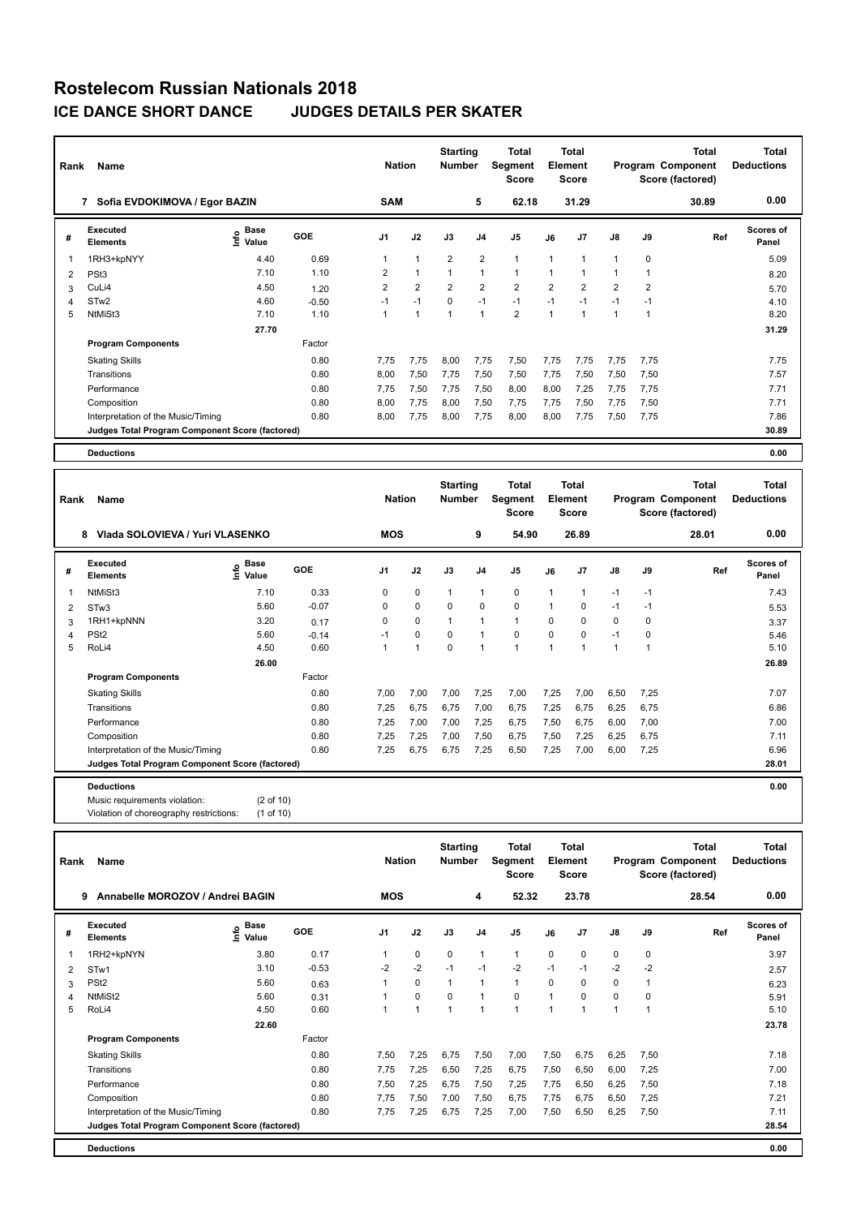| Rank | Name                                            |                    |            | <b>Nation</b>  |                | <b>Starting</b><br><b>Number</b> |                | Total<br>Segment<br><b>Score</b> |                | <b>Total</b><br>Element<br><b>Score</b> |                |                | <b>Total</b><br>Program Component<br>Score (factored) | <b>Total</b><br><b>Deductions</b> |
|------|-------------------------------------------------|--------------------|------------|----------------|----------------|----------------------------------|----------------|----------------------------------|----------------|-----------------------------------------|----------------|----------------|-------------------------------------------------------|-----------------------------------|
|      | 7 Sofia EVDOKIMOVA / Egor BAZIN                 |                    |            | <b>SAM</b>     |                |                                  | 5              | 62.18                            |                | 31.29                                   |                |                | 30.89                                                 | 0.00                              |
| #    | <b>Executed</b><br><b>Elements</b>              | $\frac{e}{E}$ Base | <b>GOE</b> | J <sub>1</sub> | J2             | J3                               | J <sub>4</sub> | J <sub>5</sub>                   | J6             | J7                                      | J8             | J9             | Ref                                                   | Scores of<br>Panel                |
| 1    | 1RH3+kpNYY                                      | 4.40               | 0.69       |                | $\overline{1}$ | $\overline{2}$                   | $\overline{2}$ | $\mathbf{1}$                     | 1              | 1                                       | $\mathbf{1}$   | 0              |                                                       | 5.09                              |
| 2    | PSt <sub>3</sub>                                | 7.10               | 1.10       | 2              | $\mathbf{1}$   |                                  | 1              | $\mathbf{1}$                     | 1              | 1                                       | 1              |                |                                                       | 8.20                              |
| 3    | CuLi4                                           | 4.50               | 1.20       | $\overline{2}$ | $\overline{2}$ | $\overline{2}$                   | $\overline{2}$ | $\overline{2}$                   | $\overline{2}$ | $\overline{2}$                          | $\overline{2}$ | $\overline{2}$ |                                                       | 5.70                              |
| 4    | STw <sub>2</sub>                                | 4.60               | $-0.50$    | $-1$           | $-1$           | $\Omega$                         | $-1$           | $-1$                             | $-1$           | $-1$                                    | $-1$           | $-1$           |                                                       | 4.10                              |
| 5    | NtMiSt3                                         | 7.10               | 1.10       |                | $\overline{1}$ |                                  | 1              | $\overline{2}$                   | 1              | 1                                       | $\overline{1}$ | 1              |                                                       | 8.20                              |
|      |                                                 | 27.70              |            |                |                |                                  |                |                                  |                |                                         |                |                |                                                       | 31.29                             |
|      | <b>Program Components</b>                       |                    | Factor     |                |                |                                  |                |                                  |                |                                         |                |                |                                                       |                                   |
|      | <b>Skating Skills</b>                           |                    | 0.80       | 7.75           | 7,75           | 8.00                             | 7,75           | 7,50                             | 7,75           | 7.75                                    | 7,75           | 7,75           |                                                       | 7.75                              |
|      | Transitions                                     |                    | 0.80       | 8,00           | 7,50           | 7,75                             | 7,50           | 7,50                             | 7,75           | 7,50                                    | 7,50           | 7,50           |                                                       | 7.57                              |
|      | Performance                                     |                    | 0.80       | 7,75           | 7,50           | 7,75                             | 7,50           | 8,00                             | 8,00           | 7,25                                    | 7,75           | 7,75           |                                                       | 7.71                              |
|      | Composition                                     |                    | 0.80       | 8.00           | 7,75           | 8.00                             | 7,50           | 7,75                             | 7.75           | 7.50                                    | 7,75           | 7,50           |                                                       | 7.71                              |
|      | Interpretation of the Music/Timing              |                    | 0.80       | 8,00           | 7,75           | 8,00                             | 7,75           | 8,00                             | 8,00           | 7,75                                    | 7,50           | 7,75           |                                                       | 7.86                              |
|      | Judges Total Program Component Score (factored) |                    |            |                |                |                                  |                |                                  |                |                                         |                |                |                                                       | 30.89                             |
|      | <b>Deductions</b>                               |                    |            |                |                |                                  |                |                                  |                |                                         |                |                |                                                       | 0.00                              |

| Rank | Name                                            |                                  |         | <b>Nation</b>  |                | <b>Starting</b><br><b>Number</b> |                | <b>Total</b><br>Segment<br><b>Score</b> |                | <b>Total</b><br>Element<br><b>Score</b> |                |      | <b>Total</b><br>Program Component<br>Score (factored) | <b>Total</b><br><b>Deductions</b> |
|------|-------------------------------------------------|----------------------------------|---------|----------------|----------------|----------------------------------|----------------|-----------------------------------------|----------------|-----------------------------------------|----------------|------|-------------------------------------------------------|-----------------------------------|
|      | Vlada SOLOVIEVA / Yuri VLASENKO<br>8            |                                  |         | <b>MOS</b>     |                |                                  | 9              | 54.90                                   |                | 26.89                                   |                |      | 28.01                                                 | 0.00                              |
| #    | Executed<br><b>Elements</b>                     | <b>Base</b><br>e Base<br>E Value | GOE     | J <sub>1</sub> | J2             | J3                               | J <sub>4</sub> | J5                                      | J6             | J <sub>7</sub>                          | $\mathsf{J}8$  | J9   | Ref                                                   | Scores of<br>Panel                |
|      | NtMiSt3                                         | 7.10                             | 0.33    | 0              | $\mathbf 0$    | 1                                | 1              | 0                                       | $\mathbf{1}$   | 1                                       | $-1$           | $-1$ |                                                       | 7.43                              |
| 2    | STw <sub>3</sub>                                | 5.60                             | $-0.07$ | 0              | $\mathbf 0$    | $\Omega$                         | 0              | $\mathbf 0$                             | $\mathbf{1}$   | 0                                       | $-1$           | $-1$ |                                                       | 5.53                              |
| 3    | 1RH1+kpNNN                                      | 3.20                             | 0.17    | 0              | 0              | 1                                | 1              | $\mathbf{1}$                            | 0              | 0                                       | 0              | 0    |                                                       | 3.37                              |
| 4    | PSt <sub>2</sub>                                | 5.60                             | $-0.14$ | $-1$           | 0              | $\Omega$                         | $\overline{1}$ | $\mathbf 0$                             | $\Omega$       | $\Omega$                                | $-1$           | 0    |                                                       | 5.46                              |
| 5    | RoLi4                                           | 4.50                             | 0.60    | 1              | $\overline{1}$ | 0                                | $\overline{1}$ | $\mathbf{1}$                            | $\overline{1}$ | $\overline{1}$                          | $\overline{1}$ | 1    |                                                       | 5.10                              |
|      |                                                 | 26.00                            |         |                |                |                                  |                |                                         |                |                                         |                |      |                                                       | 26.89                             |
|      | <b>Program Components</b>                       |                                  | Factor  |                |                |                                  |                |                                         |                |                                         |                |      |                                                       |                                   |
|      | <b>Skating Skills</b>                           |                                  | 0.80    | 7.00           | 7,00           | 7,00                             | 7,25           | 7,00                                    | 7,25           | 7,00                                    | 6,50           | 7,25 |                                                       | 7.07                              |
|      | Transitions                                     |                                  | 0.80    | 7,25           | 6,75           | 6,75                             | 7,00           | 6,75                                    | 7,25           | 6,75                                    | 6,25           | 6,75 |                                                       | 6.86                              |
|      | Performance                                     |                                  | 0.80    | 7.25           | 7,00           | 7,00                             | 7,25           | 6,75                                    | 7,50           | 6,75                                    | 6,00           | 7,00 |                                                       | 7.00                              |
|      | Composition                                     |                                  | 0.80    | 7.25           | 7,25           | 7,00                             | 7,50           | 6,75                                    | 7,50           | 7.25                                    | 6,25           | 6,75 |                                                       | 7.11                              |
|      | Interpretation of the Music/Timing              |                                  | 0.80    | 7.25           | 6,75           | 6,75                             | 7,25           | 6,50                                    | 7.25           | 7,00                                    | 6,00           | 7,25 |                                                       | 6.96                              |
|      | Judges Total Program Component Score (factored) |                                  |         |                |                |                                  |                |                                         |                |                                         |                |      |                                                       | 28.01                             |
|      | <b>Deductions</b>                               |                                  |         |                |                |                                  |                |                                         |                |                                         |                |      |                                                       | 0.00                              |
|      | Music requirements violation:                   | $(2 \text{ of } 10)$             |         |                |                |                                  |                |                                         |                |                                         |                |      |                                                       |                                   |
|      |                                                 |                                  |         |                |                |                                  |                |                                         |                |                                         |                |      |                                                       |                                   |

|  | Violation of choreography restrictions: | (1 of 10) |  |
|--|-----------------------------------------|-----------|--|
|--|-----------------------------------------|-----------|--|

| Rank | Name                                            |                             |         | <b>Nation</b>  |             | <b>Starting</b><br><b>Number</b> |                | Total<br>Segment<br><b>Score</b> |          | <b>Total</b><br>Element<br><b>Score</b> |               |             | Total<br>Program Component<br>Score (factored) | Total<br><b>Deductions</b> |
|------|-------------------------------------------------|-----------------------------|---------|----------------|-------------|----------------------------------|----------------|----------------------------------|----------|-----------------------------------------|---------------|-------------|------------------------------------------------|----------------------------|
|      | Annabelle MOROZOV / Andrei BAGIN<br>9           |                             |         | <b>MOS</b>     |             |                                  | 4              | 52.32                            |          | 23.78                                   |               |             | 28.54                                          | 0.00                       |
| #    | Executed<br><b>Elements</b>                     | <b>Base</b><br>١m٥<br>Value | GOE     | J <sub>1</sub> | J2          | J3                               | J <sub>4</sub> | J <sub>5</sub>                   | J6       | J <sub>7</sub>                          | $\mathsf{J}8$ | J9          | Ref                                            | <b>Scores of</b><br>Panel  |
| 1    | 1RH2+kpNYN                                      | 3.80                        | 0.17    | 1              | $\mathbf 0$ | $\mathbf 0$                      | 1              | $\mathbf{1}$                     | 0        | 0                                       | $\mathbf 0$   | $\mathbf 0$ |                                                | 3.97                       |
| 2    | STw1                                            | 3.10                        | $-0.53$ | $-2$           | $-2$        | $-1$                             | $-1$           | $-2$                             | $-1$     | $-1$                                    | $-2$          | $-2$        |                                                | 2.57                       |
| 3    | PS <sub>t2</sub>                                | 5.60                        | 0.63    |                | $\mathbf 0$ | $\mathbf{1}$                     | 1              | $\mathbf{1}$                     | $\Omega$ | $\Omega$                                | $\mathbf 0$   | 1           |                                                | 6.23                       |
| 4    | NtMiSt2                                         | 5.60                        | 0.31    |                | $\mathbf 0$ | $\mathbf 0$                      |                | $\mathbf 0$                      | 1        | $\Omega$                                | 0             | $\mathbf 0$ |                                                | 5.91                       |
| 5    | RoLi4                                           | 4.50                        | 0.60    |                | 1           | $\mathbf{1}$                     |                | 1                                | 1        | 1                                       | 1             | 1           |                                                | 5.10                       |
|      |                                                 | 22.60                       |         |                |             |                                  |                |                                  |          |                                         |               |             |                                                | 23.78                      |
|      | <b>Program Components</b>                       |                             | Factor  |                |             |                                  |                |                                  |          |                                         |               |             |                                                |                            |
|      | <b>Skating Skills</b>                           |                             | 0.80    | 7,50           | 7,25        | 6,75                             | 7,50           | 7,00                             | 7,50     | 6,75                                    | 6,25          | 7,50        |                                                | 7.18                       |
|      | Transitions                                     |                             | 0.80    | 7,75           | 7,25        | 6,50                             | 7,25           | 6,75                             | 7,50     | 6,50                                    | 6,00          | 7,25        |                                                | 7.00                       |
|      | Performance                                     |                             | 0.80    | 7,50           | 7,25        | 6,75                             | 7,50           | 7,25                             | 7,75     | 6,50                                    | 6,25          | 7,50        |                                                | 7.18                       |
|      | Composition                                     |                             | 0.80    | 7,75           | 7,50        | 7,00                             | 7,50           | 6,75                             | 7,75     | 6,75                                    | 6,50          | 7,25        |                                                | 7.21                       |
|      | Interpretation of the Music/Timing              |                             | 0.80    | 7,75           | 7,25        | 6,75                             | 7,25           | 7,00                             | 7,50     | 6,50                                    | 6,25          | 7,50        |                                                | 7.11                       |
|      | Judges Total Program Component Score (factored) |                             |         |                |             |                                  |                |                                  |          |                                         |               |             |                                                | 28.54                      |
|      | <b>Deductions</b>                               |                             |         |                |             |                                  |                |                                  |          |                                         |               |             |                                                | 0.00                       |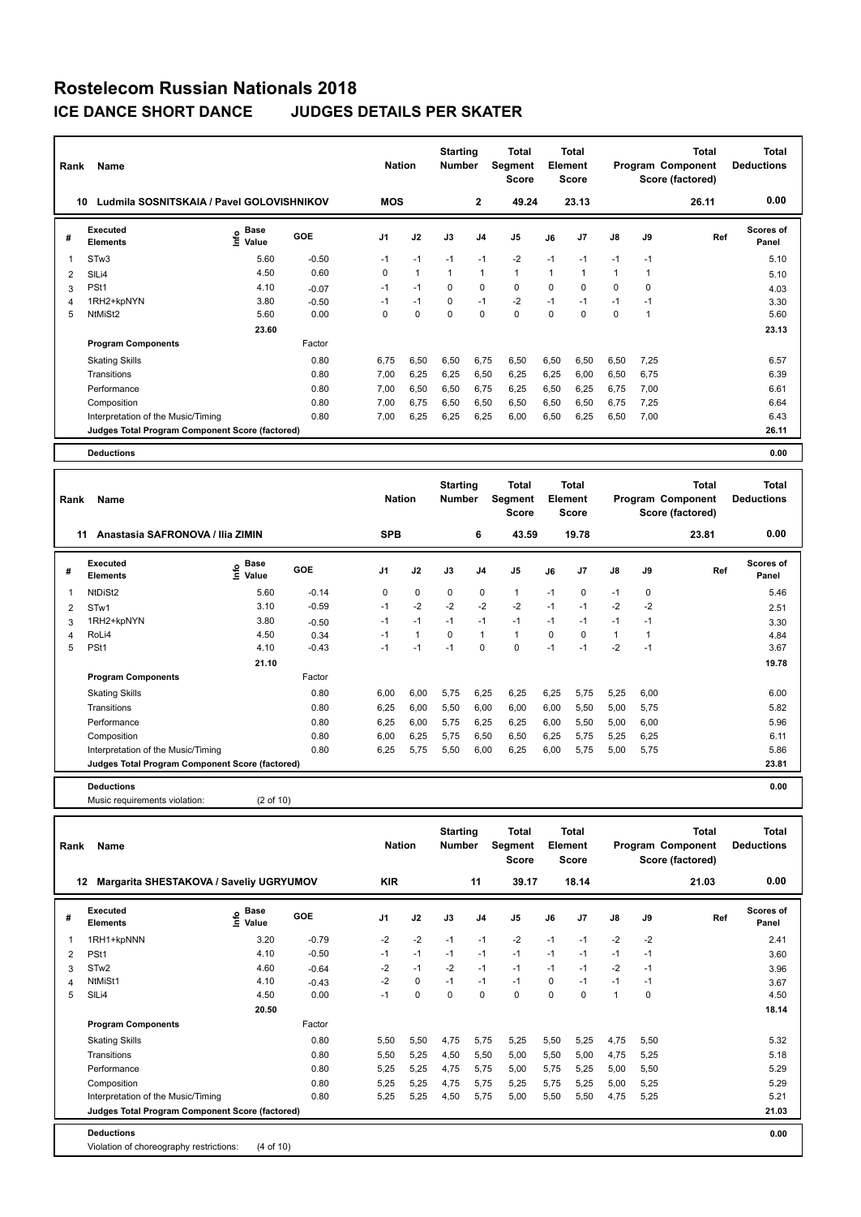| Rank | <b>Name</b>                                     |                              |         | <b>Nation</b>  |              | <b>Starting</b><br><b>Number</b> |                | <b>Total</b><br>Segment<br><b>Score</b> |          | <b>Total</b><br>Element<br><b>Score</b> |               |      | Total<br>Program Component<br>Score (factored) | Total<br><b>Deductions</b> |
|------|-------------------------------------------------|------------------------------|---------|----------------|--------------|----------------------------------|----------------|-----------------------------------------|----------|-----------------------------------------|---------------|------|------------------------------------------------|----------------------------|
| 10   | Ludmila SOSNITSKAIA / Pavel GOLOVISHNIKOV       |                              |         | <b>MOS</b>     |              |                                  | $\mathbf{2}$   | 49.24                                   |          | 23.13                                   |               |      | 26.11                                          | 0.00                       |
| #    | <b>Executed</b><br><b>Elements</b>              | <b>Base</b><br>١nf٥<br>Value | GOE     | J <sub>1</sub> | J2           | J3                               | J <sub>4</sub> | J <sub>5</sub>                          | J6       | J <sub>7</sub>                          | $\mathsf{J}8$ | J9   | Ref                                            | Scores of<br>Panel         |
|      | STw <sub>3</sub>                                | 5.60                         | $-0.50$ | $-1$           | $-1$         | $-1$                             | $-1$           | $-2$                                    | $-1$     | $-1$                                    | $-1$          | $-1$ |                                                | 5.10                       |
| 2    | SILi4                                           | 4.50                         | 0.60    | 0              | $\mathbf{1}$ | $\mathbf{1}$                     | $\overline{1}$ | $\mathbf{1}$                            | 1        | 1                                       | $\mathbf{1}$  | 1    |                                                | 5.10                       |
| 3    | PSt1                                            | 4.10                         | $-0.07$ | $-1$           | $-1$         | 0                                | 0              | $\mathbf 0$                             | 0        | 0                                       | 0             | 0    |                                                | 4.03                       |
| 4    | 1RH2+kpNYN                                      | 3.80                         | $-0.50$ | $-1$           | $-1$         | 0                                | $-1$           | $-2$                                    | $-1$     | $-1$                                    | $-1$          | $-1$ |                                                | 3.30                       |
| 5    | NtMiSt2                                         | 5.60                         | 0.00    | 0              | $\mathbf 0$  | $\mathbf 0$                      | $\mathbf 0$    | $\mathbf 0$                             | $\Omega$ | $\Omega$                                | $\mathbf 0$   | 1    |                                                | 5.60                       |
|      |                                                 | 23.60                        |         |                |              |                                  |                |                                         |          |                                         |               |      |                                                | 23.13                      |
|      | <b>Program Components</b>                       |                              | Factor  |                |              |                                  |                |                                         |          |                                         |               |      |                                                |                            |
|      | <b>Skating Skills</b>                           |                              | 0.80    | 6.75           | 6,50         | 6,50                             | 6,75           | 6,50                                    | 6,50     | 6,50                                    | 6,50          | 7.25 |                                                | 6.57                       |
|      | Transitions                                     |                              | 0.80    | 7.00           | 6,25         | 6,25                             | 6,50           | 6,25                                    | 6,25     | 6,00                                    | 6,50          | 6.75 |                                                | 6.39                       |
|      | Performance                                     |                              | 0.80    | 7.00           | 6,50         | 6,50                             | 6,75           | 6.25                                    | 6,50     | 6.25                                    | 6.75          | 7.00 |                                                | 6.61                       |
|      | Composition                                     |                              | 0.80    | 7.00           | 6,75         | 6,50                             | 6.50           | 6.50                                    | 6,50     | 6.50                                    | 6.75          | 7.25 |                                                | 6.64                       |
|      | Interpretation of the Music/Timing              |                              | 0.80    | 7.00           | 6,25         | 6,25                             | 6,25           | 6.00                                    | 6.50     | 6,25                                    | 6,50          | 7.00 |                                                | 6.43                       |
|      | Judges Total Program Component Score (factored) |                              |         |                |              |                                  |                |                                         |          |                                         |               |      |                                                | 26.11                      |
|      | <b>Deductions</b>                               |                              |         |                |              |                                  |                |                                         |          |                                         |               |      |                                                | 0.00                       |

| Rank | Name                                            |                            |         | <b>Nation</b>  |              | <b>Starting</b><br><b>Number</b> |                | Total<br>Segment<br><b>Score</b> |          | <b>Total</b><br>Element<br><b>Score</b> |              |      | <b>Total</b><br>Program Component<br>Score (factored) | <b>Total</b><br><b>Deductions</b> |
|------|-------------------------------------------------|----------------------------|---------|----------------|--------------|----------------------------------|----------------|----------------------------------|----------|-----------------------------------------|--------------|------|-------------------------------------------------------|-----------------------------------|
| 11   | Anastasia SAFRONOVA / Ilia ZIMIN                |                            |         | <b>SPB</b>     |              |                                  | 6              | 43.59                            |          | 19.78                                   |              |      | 23.81                                                 | 0.00                              |
| #    | <b>Executed</b><br><b>Elements</b>              | <b>Base</b><br>١m<br>Value | GOE     | J <sub>1</sub> | J2           | J3                               | J <sub>4</sub> | J <sub>5</sub>                   | J6       | J <sub>7</sub>                          | J8           | J9   | Ref                                                   | <b>Scores of</b><br>Panel         |
| 1    | NtDiSt2                                         | 5.60                       | $-0.14$ | 0              | $\mathbf 0$  | $\mathbf 0$                      | $\mathbf 0$    | $\mathbf{1}$                     | $-1$     | 0                                       | $-1$         | 0    |                                                       | 5.46                              |
| 2    | STw1                                            | 3.10                       | $-0.59$ | $-1$           | $-2$         | $-2$                             | $-2$           | $-2$                             | $-1$     | $-1$                                    | $-2$         | $-2$ |                                                       | 2.51                              |
| 3    | 1RH2+kpNYN                                      | 3.80                       | $-0.50$ | $-1$           | $-1$         | $-1$                             | $-1$           | $-1$                             | $-1$     | $-1$                                    | $-1$         | $-1$ |                                                       | 3.30                              |
| 4    | RoLi4                                           | 4.50                       | 0.34    | $-1$           | $\mathbf{1}$ | $\Omega$                         | $\overline{1}$ | $\overline{1}$                   | $\Omega$ | $\Omega$                                | $\mathbf{1}$ |      |                                                       | 4.84                              |
| 5    | PSt1                                            | 4.10                       | $-0.43$ | $-1$           | $-1$         | $-1$                             | 0              | $\mathbf 0$                      | $-1$     | $-1$                                    | $-2$         | $-1$ |                                                       | 3.67                              |
|      |                                                 | 21.10                      |         |                |              |                                  |                |                                  |          |                                         |              |      |                                                       | 19.78                             |
|      | <b>Program Components</b>                       |                            | Factor  |                |              |                                  |                |                                  |          |                                         |              |      |                                                       |                                   |
|      | <b>Skating Skills</b>                           |                            | 0.80    | 6,00           | 6,00         | 5,75                             | 6,25           | 6,25                             | 6,25     | 5,75                                    | 5,25         | 6,00 |                                                       | 6.00                              |
|      | Transitions                                     |                            | 0.80    | 6,25           | 6,00         | 5,50                             | 6,00           | 6,00                             | 6,00     | 5,50                                    | 5,00         | 5,75 |                                                       | 5.82                              |
|      | Performance                                     |                            | 0.80    | 6,25           | 6,00         | 5,75                             | 6,25           | 6,25                             | 6,00     | 5,50                                    | 5,00         | 6,00 |                                                       | 5.96                              |
|      | Composition                                     |                            | 0.80    | 6,00           | 6,25         | 5,75                             | 6,50           | 6,50                             | 6,25     | 5,75                                    | 5,25         | 6,25 |                                                       | 6.11                              |
|      | Interpretation of the Music/Timing              |                            | 0.80    | 6,25           | 5,75         | 5,50                             | 6,00           | 6,25                             | 6,00     | 5,75                                    | 5,00         | 5,75 |                                                       | 5.86                              |
|      | Judges Total Program Component Score (factored) |                            |         |                |              |                                  |                |                                  |          |                                         |              |      |                                                       | 23.81                             |
|      | <b>Deductions</b>                               |                            |         |                |              |                                  |                |                                  |          |                                         |              |      |                                                       | 0.00                              |

Music requirements violation: (2 of 10)

| Rank           | Name                                                         |                    |         | <b>Nation</b>  |          | <b>Starting</b><br><b>Number</b> |                | Total<br>Segment<br><b>Score</b> |          | <b>Total</b><br>Element<br><b>Score</b> |               |             | Total<br>Program Component<br>Score (factored) | Total<br><b>Deductions</b> |
|----------------|--------------------------------------------------------------|--------------------|---------|----------------|----------|----------------------------------|----------------|----------------------------------|----------|-----------------------------------------|---------------|-------------|------------------------------------------------|----------------------------|
|                | Margarita SHESTAKOVA / Saveliy UGRYUMOV<br>12                |                    |         | <b>KIR</b>     |          |                                  | 11             | 39.17                            |          | 18.14                                   |               |             | 21.03                                          | 0.00                       |
| #              | Executed<br><b>Elements</b>                                  | Base<br>۴<br>Value | GOE     | J <sub>1</sub> | J2       | J3                               | J <sub>4</sub> | J <sub>5</sub>                   | J6       | J7                                      | $\mathsf{J}8$ | J9          | Ref                                            | <b>Scores of</b><br>Panel  |
| $\overline{1}$ | 1RH1+kpNNN                                                   | 3.20               | $-0.79$ | $-2$           | $-2$     | $-1$                             | $-1$           | $-2$                             | $-1$     | $-1$                                    | $-2$          | $-2$        |                                                | 2.41                       |
| $\overline{2}$ | PSt <sub>1</sub>                                             | 4.10               | $-0.50$ | $-1$           | $-1$     | $-1$                             | $-1$           | $-1$                             | $-1$     | $-1$                                    | $-1$          | $-1$        |                                                | 3.60                       |
| 3              | STw <sub>2</sub>                                             | 4.60               | $-0.64$ | $-2$           | $-1$     | $-2$                             | $-1$           | $-1$                             | $-1$     | $-1$                                    | $-2$          | $-1$        |                                                | 3.96                       |
| 4              | NtMiSt1                                                      | 4.10               | $-0.43$ | $-2$           | $\Omega$ | $-1$                             | $-1$           | $-1$                             | $\Omega$ | $-1$                                    | $-1$          | $-1$        |                                                | 3.67                       |
| 5              | SILi4                                                        | 4.50               | 0.00    | $-1$           | 0        | $\mathbf 0$                      | $\Omega$       | 0                                | $\Omega$ | 0                                       | $\mathbf{1}$  | $\mathbf 0$ |                                                | 4.50                       |
|                |                                                              | 20.50              |         |                |          |                                  |                |                                  |          |                                         |               |             |                                                | 18.14                      |
|                | <b>Program Components</b>                                    |                    | Factor  |                |          |                                  |                |                                  |          |                                         |               |             |                                                |                            |
|                | <b>Skating Skills</b>                                        |                    | 0.80    | 5,50           | 5,50     | 4,75                             | 5,75           | 5,25                             | 5,50     | 5,25                                    | 4,75          | 5,50        |                                                | 5.32                       |
|                | Transitions                                                  |                    | 0.80    | 5,50           | 5,25     | 4,50                             | 5,50           | 5,00                             | 5,50     | 5.00                                    | 4,75          | 5.25        |                                                | 5.18                       |
|                | Performance                                                  |                    | 0.80    | 5,25           | 5,25     | 4,75                             | 5,75           | 5,00                             | 5,75     | 5.25                                    | 5,00          | 5,50        |                                                | 5.29                       |
|                | Composition                                                  |                    | 0.80    | 5,25           | 5,25     | 4,75                             | 5,75           | 5,25                             | 5,75     | 5.25                                    | 5,00          | 5.25        |                                                | 5.29                       |
|                | Interpretation of the Music/Timing                           |                    | 0.80    | 5,25           | 5,25     | 4,50                             | 5,75           | 5,00                             | 5,50     | 5,50                                    | 4,75          | 5,25        |                                                | 5.21                       |
|                | Judges Total Program Component Score (factored)              |                    |         |                |          |                                  |                |                                  |          |                                         |               |             |                                                | 21.03                      |
|                | <b>Deductions</b><br>Violation of choreography restrictions: | (4 of 10)          |         |                |          |                                  |                |                                  |          |                                         |               |             |                                                | 0.00                       |